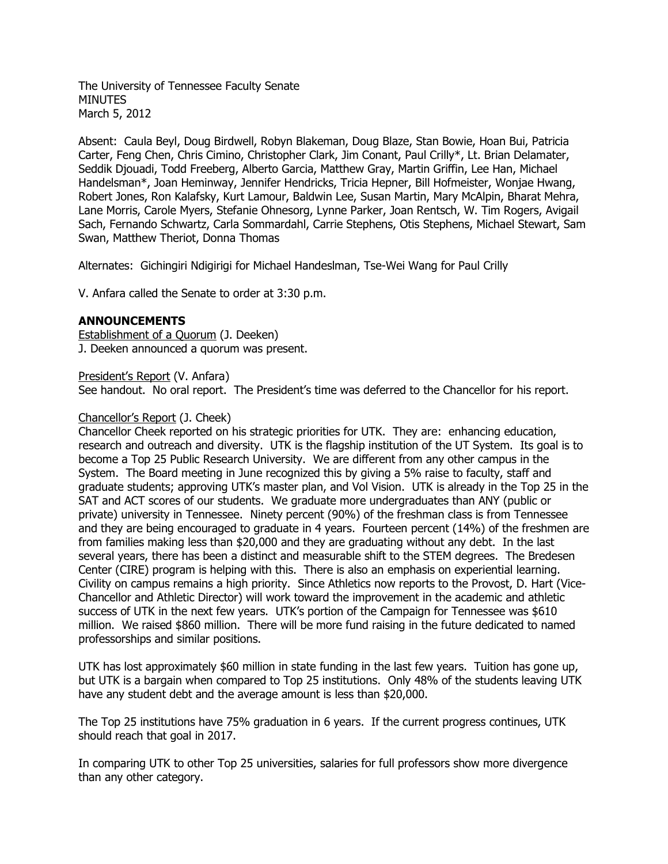The University of Tennessee Faculty Senate **MINUTES** March 5, 2012

Absent: Caula Beyl, Doug Birdwell, Robyn Blakeman, Doug Blaze, Stan Bowie, Hoan Bui, Patricia Carter, Feng Chen, Chris Cimino, Christopher Clark, Jim Conant, Paul Crilly\*, Lt. Brian Delamater, Seddik Djouadi, Todd Freeberg, Alberto Garcia, Matthew Gray, Martin Griffin, Lee Han, Michael Handelsman\*, Joan Heminway, Jennifer Hendricks, Tricia Hepner, Bill Hofmeister, Wonjae Hwang, Robert Jones, Ron Kalafsky, Kurt Lamour, Baldwin Lee, Susan Martin, Mary McAlpin, Bharat Mehra, Lane Morris, Carole Myers, Stefanie Ohnesorg, Lynne Parker, Joan Rentsch, W. Tim Rogers, Avigail Sach, Fernando Schwartz, Carla Sommardahl, Carrie Stephens, Otis Stephens, Michael Stewart, Sam Swan, Matthew Theriot, Donna Thomas

Alternates: Gichingiri Ndigirigi for Michael Handeslman, Tse-Wei Wang for Paul Crilly

V. Anfara called the Senate to order at 3:30 p.m.

# **ANNOUNCEMENTS**

Establishment of a Quorum (J. Deeken) J. Deeken announced a quorum was present.

President's Report (V. Anfara)

See handout. No oral report. The President's time was deferred to the Chancellor for his report.

# Chancellor's Report (J. Cheek)

Chancellor Cheek reported on his strategic priorities for UTK. They are: enhancing education, research and outreach and diversity. UTK is the flagship institution of the UT System. Its goal is to become a Top 25 Public Research University. We are different from any other campus in the System. The Board meeting in June recognized this by giving a 5% raise to faculty, staff and graduate students; approving UTK's master plan, and Vol Vision. UTK is already in the Top 25 in the SAT and ACT scores of our students. We graduate more undergraduates than ANY (public or private) university in Tennessee. Ninety percent (90%) of the freshman class is from Tennessee and they are being encouraged to graduate in 4 years. Fourteen percent (14%) of the freshmen are from families making less than \$20,000 and they are graduating without any debt. In the last several years, there has been a distinct and measurable shift to the STEM degrees. The Bredesen Center (CIRE) program is helping with this. There is also an emphasis on experiential learning. Civility on campus remains a high priority. Since Athletics now reports to the Provost, D. Hart (Vice-Chancellor and Athletic Director) will work toward the improvement in the academic and athletic success of UTK in the next few years. UTK's portion of the Campaign for Tennessee was \$610 million. We raised \$860 million. There will be more fund raising in the future dedicated to named professorships and similar positions.

UTK has lost approximately \$60 million in state funding in the last few years. Tuition has gone up, but UTK is a bargain when compared to Top 25 institutions. Only 48% of the students leaving UTK have any student debt and the average amount is less than \$20,000.

The Top 25 institutions have 75% graduation in 6 years. If the current progress continues, UTK should reach that goal in 2017.

In comparing UTK to other Top 25 universities, salaries for full professors show more divergence than any other category.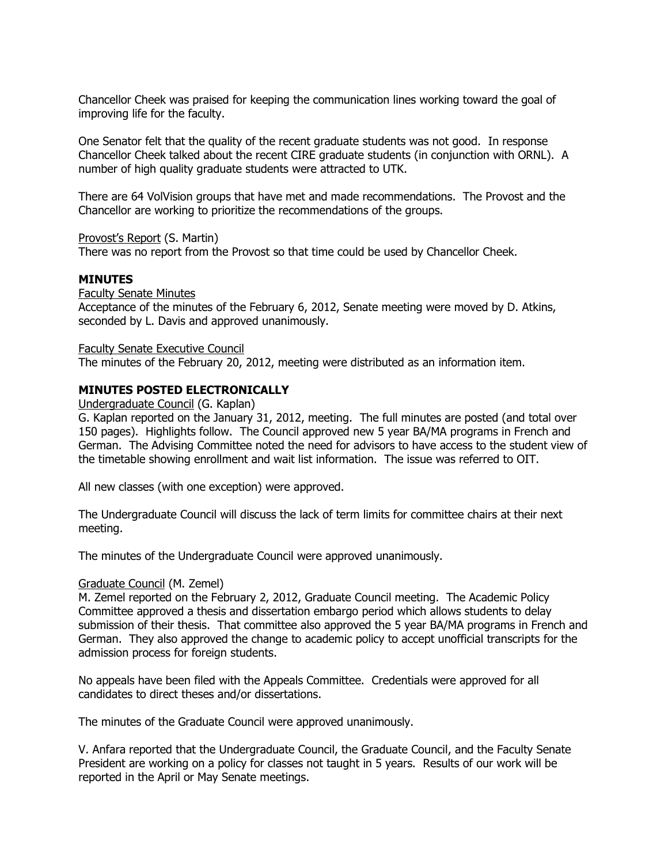Chancellor Cheek was praised for keeping the communication lines working toward the goal of improving life for the faculty.

One Senator felt that the quality of the recent graduate students was not good. In response Chancellor Cheek talked about the recent CIRE graduate students (in conjunction with ORNL). A number of high quality graduate students were attracted to UTK.

There are 64 VolVision groups that have met and made recommendations. The Provost and the Chancellor are working to prioritize the recommendations of the groups.

Provost's Report (S. Martin)

There was no report from the Provost so that time could be used by Chancellor Cheek.

## **MINUTES**

Faculty Senate Minutes Acceptance of the minutes of the February 6, 2012, Senate meeting were moved by D. Atkins, seconded by L. Davis and approved unanimously.

Faculty Senate Executive Council

The minutes of the February 20, 2012, meeting were distributed as an information item.

# **MINUTES POSTED ELECTRONICALLY**

Undergraduate Council (G. Kaplan)

G. Kaplan reported on the January 31, 2012, meeting. The full minutes are posted (and total over 150 pages). Highlights follow. The Council approved new 5 year BA/MA programs in French and German. The Advising Committee noted the need for advisors to have access to the student view of the timetable showing enrollment and wait list information. The issue was referred to OIT.

All new classes (with one exception) were approved.

The Undergraduate Council will discuss the lack of term limits for committee chairs at their next meeting.

The minutes of the Undergraduate Council were approved unanimously.

#### Graduate Council (M. Zemel)

M. Zemel reported on the February 2, 2012, Graduate Council meeting. The Academic Policy Committee approved a thesis and dissertation embargo period which allows students to delay submission of their thesis. That committee also approved the 5 year BA/MA programs in French and German. They also approved the change to academic policy to accept unofficial transcripts for the admission process for foreign students.

No appeals have been filed with the Appeals Committee. Credentials were approved for all candidates to direct theses and/or dissertations.

The minutes of the Graduate Council were approved unanimously.

V. Anfara reported that the Undergraduate Council, the Graduate Council, and the Faculty Senate President are working on a policy for classes not taught in 5 years. Results of our work will be reported in the April or May Senate meetings.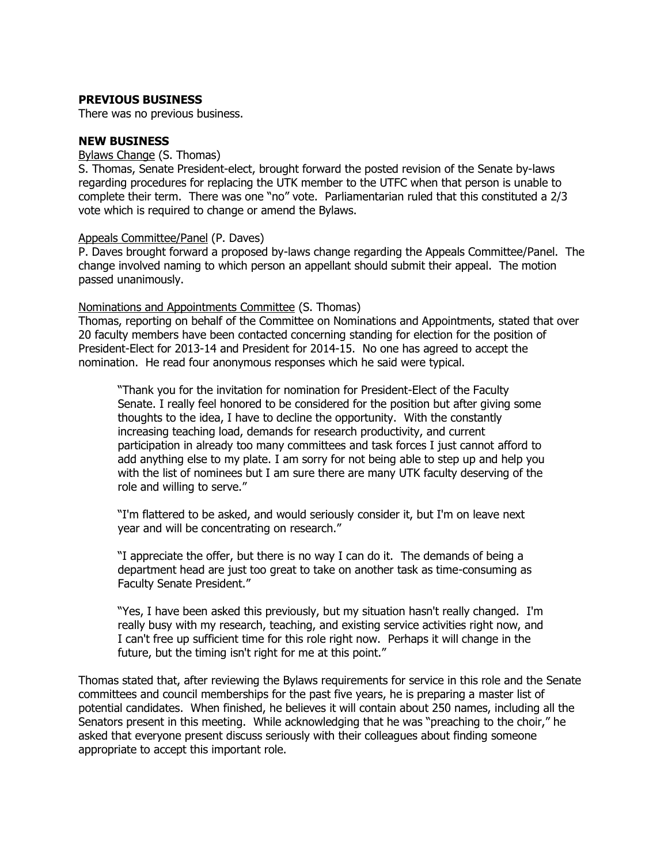## **PREVIOUS BUSINESS**

There was no previous business.

## **NEW BUSINESS**

#### Bylaws Change (S. Thomas)

S. Thomas, Senate President-elect, brought forward the posted revision of the Senate by-laws regarding procedures for replacing the UTK member to the UTFC when that person is unable to complete their term. There was one "no" vote. Parliamentarian ruled that this constituted a 2/3 vote which is required to change or amend the Bylaws.

### Appeals Committee/Panel (P. Daves)

P. Daves brought forward a proposed by-laws change regarding the Appeals Committee/Panel. The change involved naming to which person an appellant should submit their appeal. The motion passed unanimously.

### Nominations and Appointments Committee (S. Thomas)

Thomas, reporting on behalf of the Committee on Nominations and Appointments, stated that over 20 faculty members have been contacted concerning standing for election for the position of President-Elect for 2013-14 and President for 2014-15. No one has agreed to accept the nomination. He read four anonymous responses which he said were typical.

"Thank you for the invitation for nomination for President-Elect of the Faculty Senate. I really feel honored to be considered for the position but after giving some thoughts to the idea, I have to decline the opportunity. With the constantly increasing teaching load, demands for research productivity, and current participation in already too many committees and task forces I just cannot afford to add anything else to my plate. I am sorry for not being able to step up and help you with the list of nominees but I am sure there are many UTK faculty deserving of the role and willing to serve."

"I'm flattered to be asked, and would seriously consider it, but I'm on leave next year and will be concentrating on research."

"I appreciate the offer, but there is no way I can do it. The demands of being a department head are just too great to take on another task as time-consuming as Faculty Senate President."

"Yes, I have been asked this previously, but my situation hasn't really changed. I'm really busy with my research, teaching, and existing service activities right now, and I can't free up sufficient time for this role right now. Perhaps it will change in the future, but the timing isn't right for me at this point."

Thomas stated that, after reviewing the Bylaws requirements for service in this role and the Senate committees and council memberships for the past five years, he is preparing a master list of potential candidates. When finished, he believes it will contain about 250 names, including all the Senators present in this meeting. While acknowledging that he was "preaching to the choir," he asked that everyone present discuss seriously with their colleagues about finding someone appropriate to accept this important role.